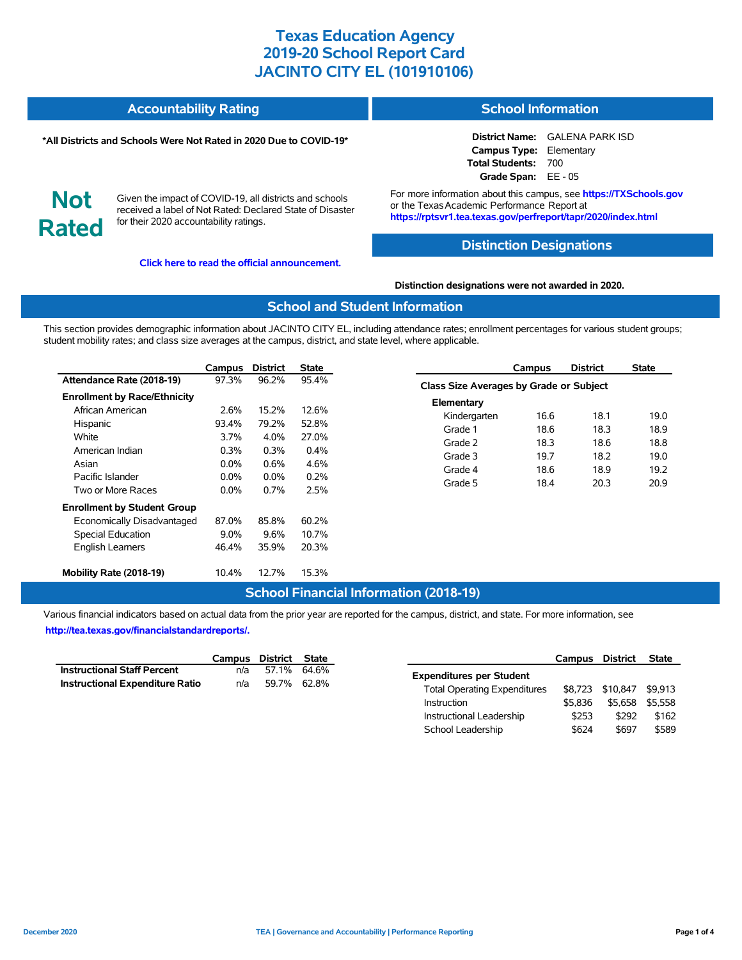#### **Accountability Rating School Information**

#### **\*All Districts and Schools Were Not Rated in 2020 Due to COVID-19\***

**District Name:** GALENA PARK ISD **Campus Type:** Elementary **Total Students:** 700 **Grade Span:** EE - 05

**Not Rated**

Given the impact of COVID-19, all districts and schools received a label of Not Rated: Declared State of Disaster for their 2020 accountability ratings.

**[Click here to read the official announcement.](https://tea.texas.gov/about-tea/news-and-multimedia/correspondence/taa-letters/every-student-succeeds-act-essa-waiver-approval-2020-state-academic-accountability)**

For more information about this campus, see **https://TXSchools.gov** or the TexasAcademic Performance Report at **https://rptsvr1.tea.texas.gov/perfreport/tapr/2020/index.html**

### **Distinction Designations**

**Distinction designations were not awarded in 2020.**

### **School and Student Information**

This section provides demographic information about JACINTO CITY EL, including attendance rates; enrollment percentages for various student groups; student mobility rates; and class size averages at the campus, district, and state level, where applicable.

|                                     | Campus  | <b>District</b> | State   |
|-------------------------------------|---------|-----------------|---------|
| Attendance Rate (2018-19)           | 97.3%   | 96.2%           | 95.4%   |
| <b>Enrollment by Race/Ethnicity</b> |         |                 |         |
| African American                    | 2.6%    | 15.2%           | 12.6%   |
| Hispanic                            | 93.4%   | 79.2%           | 52.8%   |
| White                               | 3.7%    | $4.0\%$         | 27.0%   |
| American Indian                     | $0.3\%$ | $0.3\%$         | $0.4\%$ |
| Asian                               | $0.0\%$ | $0.6\%$         | 4.6%    |
| Pacific Islander                    | $0.0\%$ | $0.0\%$         | 0.2%    |
| Two or More Races                   | $0.0\%$ | 0.7%            | 2.5%    |
| <b>Enrollment by Student Group</b>  |         |                 |         |
| Economically Disadvantaged          | 87.0%   | 85.8%           | 60.2%   |
| <b>Special Education</b>            | $9.0\%$ | 9.6%            | 10.7%   |
| <b>English Learners</b>             | 46.4%   | 35.9%           | 20.3%   |
| Mobility Rate (2018-19)             | 10.4%   | 12.7%           | 15.3%   |

### **Campus District State Class Size Averages by Grade or Subject Elementary** Kindergarten 16.6 18.1 19.0 Grade 1 18.6 18.3 18.9 Grade 2 18.3 18.6 18.8 Grade 3 19.7 18.2 19.0 Grade 4 18.6 18.9 19.2 Grade 5 18.4 20.3 20.9

## **School Financial Information (2018-19)**

Various financial indicators based on actual data from the prior year are reported for the campus, district, and state. For more information, see **[http://tea.texas.gov/financialstandardreports/.](http://tea.texas.gov/financialstandardreports/)**

|                                        | Campus District State |             |  |
|----------------------------------------|-----------------------|-------------|--|
| <b>Instructional Staff Percent</b>     | n/a                   | 57.1% 64.6% |  |
| <b>Instructional Expenditure Ratio</b> | n/a                   | 59.7% 62.8% |  |

|                                     | Campus  | District | <b>State</b> |  |
|-------------------------------------|---------|----------|--------------|--|
| <b>Expenditures per Student</b>     |         |          |              |  |
| <b>Total Operating Expenditures</b> | \$8.723 | \$10,847 | \$9.913      |  |
| Instruction                         | \$5.836 | \$5.658  | \$5.558      |  |
| Instructional Leadership            | \$253   | \$292    | \$162        |  |
| School Leadership                   | \$624   | \$697    | \$589        |  |

Ĭ.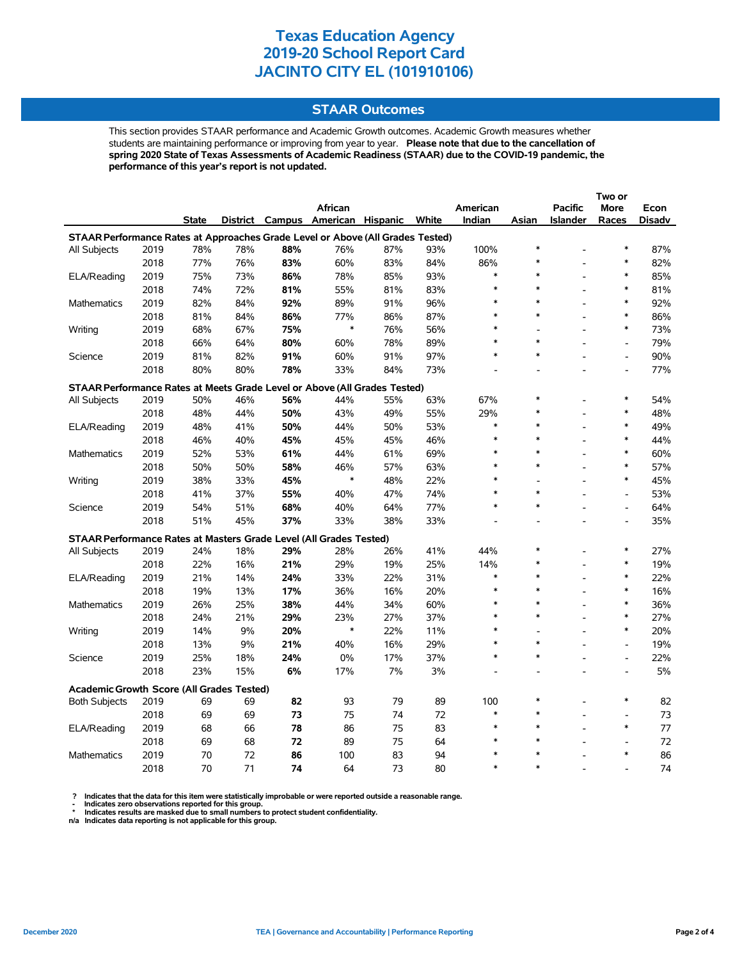### **STAAR Outcomes**

This section provides STAAR performance and Academic Growth outcomes. Academic Growth measures whether students are maintaining performance or improving from year to year. **Please note that due to the cancellation of spring 2020 State of Texas Assessments of Academic Readiness (STAAR) due to the COVID-19 pandemic, the performance of this year's report is not updated.**

|                                                                                |      |              |     |     |                                   |     |       |          |        |                | Two or                   |        |  |
|--------------------------------------------------------------------------------|------|--------------|-----|-----|-----------------------------------|-----|-------|----------|--------|----------------|--------------------------|--------|--|
|                                                                                |      |              |     |     | <b>African</b>                    |     |       | American |        | <b>Pacific</b> | More                     | Econ   |  |
|                                                                                |      | <b>State</b> |     |     | District Campus American Hispanic |     | White | Indian   | Asian  | Islander       | Races                    | Disadv |  |
| STAAR Performance Rates at Approaches Grade Level or Above (All Grades Tested) |      |              |     |     |                                   |     |       |          |        |                |                          |        |  |
| All Subjects                                                                   | 2019 | 78%          | 78% | 88% | 76%                               | 87% | 93%   | 100%     | $\ast$ |                | $\ast$                   | 87%    |  |
|                                                                                | 2018 | 77%          | 76% | 83% | 60%                               | 83% | 84%   | 86%      | $\ast$ |                | $\ast$                   | 82%    |  |
| ELA/Reading                                                                    | 2019 | 75%          | 73% | 86% | 78%                               | 85% | 93%   | $\ast$   | $\ast$ |                | $\ast$                   | 85%    |  |
|                                                                                | 2018 | 74%          | 72% | 81% | 55%                               | 81% | 83%   | $\ast$   | $\ast$ |                | $\ast$                   | 81%    |  |
| <b>Mathematics</b>                                                             | 2019 | 82%          | 84% | 92% | 89%                               | 91% | 96%   | $\ast$   | $\ast$ |                | $\ast$                   | 92%    |  |
|                                                                                | 2018 | 81%          | 84% | 86% | 77%                               | 86% | 87%   | $\ast$   | $\ast$ |                | $\ast$                   | 86%    |  |
| Writing                                                                        | 2019 | 68%          | 67% | 75% | *                                 | 76% | 56%   | $\ast$   |        |                | $\ast$                   | 73%    |  |
|                                                                                | 2018 | 66%          | 64% | 80% | 60%                               | 78% | 89%   | $\ast$   | $\ast$ |                | $\overline{a}$           | 79%    |  |
| Science                                                                        | 2019 | 81%          | 82% | 91% | 60%                               | 91% | 97%   | $\ast$   | $\ast$ |                | $\overline{a}$           | 90%    |  |
|                                                                                | 2018 | 80%          | 80% | 78% | 33%                               | 84% | 73%   |          |        |                | $\overline{a}$           | 77%    |  |
| STAAR Performance Rates at Meets Grade Level or Above (All Grades Tested)      |      |              |     |     |                                   |     |       |          |        |                |                          |        |  |
| All Subjects                                                                   | 2019 | 50%          | 46% | 56% | 44%                               | 55% | 63%   | 67%      | $\ast$ |                | $\ast$                   | 54%    |  |
|                                                                                | 2018 | 48%          | 44% | 50% | 43%                               | 49% | 55%   | 29%      | $\ast$ |                | $\ast$                   | 48%    |  |
| ELA/Reading                                                                    | 2019 | 48%          | 41% | 50% | 44%                               | 50% | 53%   | $\ast$   | $\ast$ |                | $\ast$                   | 49%    |  |
|                                                                                | 2018 | 46%          | 40% | 45% | 45%                               | 45% | 46%   | $\ast$   | $\ast$ |                | $\ast$                   | 44%    |  |
| Mathematics                                                                    | 2019 | 52%          | 53% | 61% | 44%                               | 61% | 69%   | $\ast$   | $\ast$ |                | $\ast$                   | 60%    |  |
|                                                                                | 2018 | 50%          | 50% | 58% | 46%                               | 57% | 63%   | $\ast$   | $\ast$ |                | $\ast$                   | 57%    |  |
| Writing                                                                        | 2019 | 38%          | 33% | 45% | $\ast$                            | 48% | 22%   | $\ast$   |        |                | $\ast$                   | 45%    |  |
|                                                                                | 2018 | 41%          | 37% | 55% | 40%                               | 47% | 74%   | $\ast$   | $\ast$ |                | $\overline{a}$           | 53%    |  |
| Science                                                                        | 2019 | 54%          | 51% | 68% | 40%                               | 64% | 77%   | $\ast$   | $\ast$ |                | $\overline{\phantom{a}}$ | 64%    |  |
|                                                                                | 2018 | 51%          | 45% | 37% | 33%                               | 38% | 33%   |          |        |                | $\overline{a}$           | 35%    |  |
| STAAR Performance Rates at Masters Grade Level (All Grades Tested)             |      |              |     |     |                                   |     |       |          |        |                |                          |        |  |
| All Subjects                                                                   | 2019 | 24%          | 18% | 29% | 28%                               | 26% | 41%   | 44%      | $\ast$ |                | $\ast$                   | 27%    |  |
|                                                                                | 2018 | 22%          | 16% | 21% | 29%                               | 19% | 25%   | 14%      | $\ast$ |                | $\ast$                   | 19%    |  |
| ELA/Reading                                                                    | 2019 | 21%          | 14% | 24% | 33%                               | 22% | 31%   | $\ast$   | $\ast$ |                | $\ast$                   | 22%    |  |
|                                                                                | 2018 | 19%          | 13% | 17% | 36%                               | 16% | 20%   | *        | $\ast$ |                | *                        | 16%    |  |
| Mathematics                                                                    | 2019 | 26%          | 25% | 38% | 44%                               | 34% | 60%   | $\ast$   | $\ast$ |                | $\ast$                   | 36%    |  |
|                                                                                | 2018 | 24%          | 21% | 29% | 23%                               | 27% | 37%   | $\ast$   | $\ast$ |                | $\ast$                   | 27%    |  |
| Writing                                                                        | 2019 | 14%          | 9%  | 20% | $\ast$                            | 22% | 11%   | $\ast$   |        |                | $\ast$                   | 20%    |  |
|                                                                                | 2018 | 13%          | 9%  | 21% | 40%                               | 16% | 29%   | $\ast$   | $\ast$ |                | $\overline{a}$           | 19%    |  |
| Science                                                                        | 2019 | 25%          | 18% | 24% | 0%                                | 17% | 37%   | $\ast$   | $\ast$ |                | $\overline{a}$           | 22%    |  |
|                                                                                | 2018 | 23%          | 15% | 6%  | 17%                               | 7%  | 3%    |          |        |                |                          | 5%     |  |
| <b>Academic Growth Score (All Grades Tested)</b>                               |      |              |     |     |                                   |     |       |          |        |                |                          |        |  |
| <b>Both Subjects</b>                                                           | 2019 | 69           | 69  | 82  | 93                                | 79  | 89    | 100      | $\ast$ |                | $\ast$                   | 82     |  |
|                                                                                | 2018 | 69           | 69  | 73  | 75                                | 74  | 72    | $\ast$   | $\ast$ |                |                          | 73     |  |
| ELA/Reading                                                                    | 2019 | 68           | 66  | 78  | 86                                | 75  | 83    | $\ast$   | $\ast$ |                | $\ast$                   | 77     |  |
|                                                                                | 2018 | 69           | 68  | 72  | 89                                | 75  | 64    | $\ast$   | $\ast$ |                |                          | 72     |  |
| Mathematics                                                                    | 2019 | 70           | 72  | 86  | 100                               | 83  | 94    | $\ast$   | $\ast$ |                | $\ast$                   | 86     |  |
|                                                                                | 2018 | 70           | 71  | 74  | 64                                | 73  | 80    | $\ast$   | $\ast$ |                |                          | 74     |  |

? Indicates that the data for this item were statistically improbable or were reported outside a reasonable range.<br>- Indicates zero observations reported for this group.<br>\* Indicates results are masked due to small numbers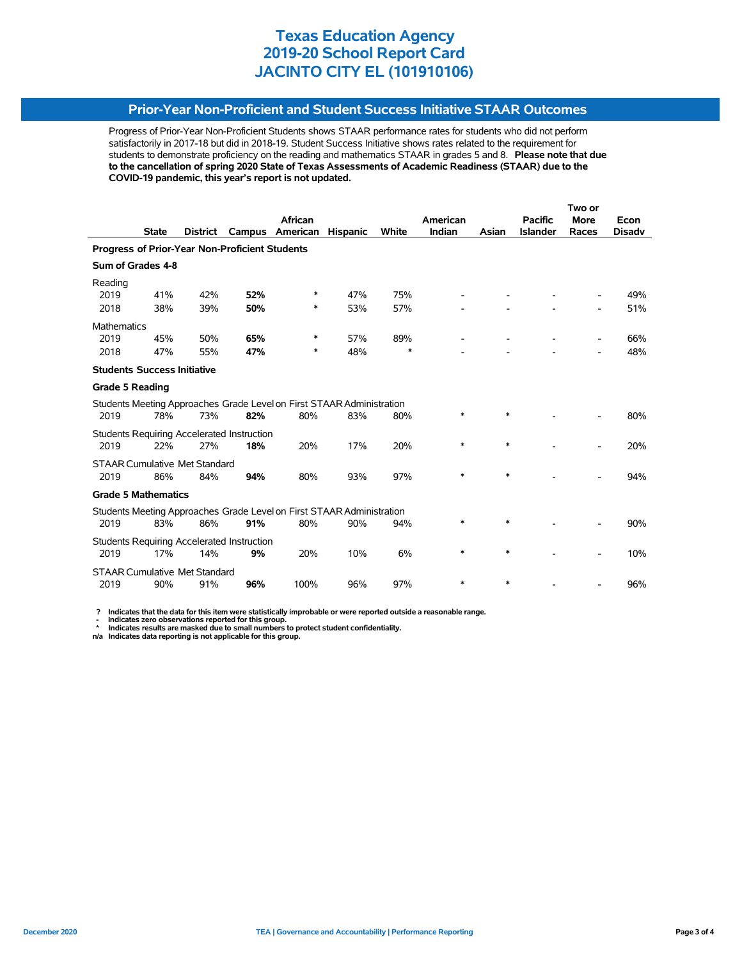## **Prior-Year Non-Proficient and Student Success Initiative STAAR Outcomes**

Progress of Prior-Year Non-Proficient Students shows STAAR performance rates for students who did not perform satisfactorily in 2017-18 but did in 2018-19. Student Success Initiative shows rates related to the requirement for students to demonstrate proficiency on the reading and mathematics STAAR in grades 5 and 8. **Please note that due to the cancellation of spring 2020 State of Texas Assessments of Academic Readiness (STAAR) due to the COVID-19 pandemic, this year's report is not updated.**

|                                                                       |              |                                      |                                                   |                                                                       |                 |        | Two or   |        |                 |             |               |
|-----------------------------------------------------------------------|--------------|--------------------------------------|---------------------------------------------------|-----------------------------------------------------------------------|-----------------|--------|----------|--------|-----------------|-------------|---------------|
|                                                                       |              |                                      |                                                   | <b>African</b>                                                        |                 |        | American |        | <b>Pacific</b>  | <b>More</b> | Econ          |
|                                                                       | <b>State</b> | <b>District</b>                      | Campus                                            | American                                                              | <b>Hispanic</b> | White  | Indian   | Asian  | <b>Islander</b> | Races       | <b>Disady</b> |
| Progress of Prior-Year Non-Proficient Students                        |              |                                      |                                                   |                                                                       |                 |        |          |        |                 |             |               |
| Sum of Grades 4-8                                                     |              |                                      |                                                   |                                                                       |                 |        |          |        |                 |             |               |
| Reading                                                               |              |                                      |                                                   |                                                                       |                 |        |          |        |                 |             |               |
| 2019                                                                  | 41%          | 42%                                  | 52%                                               | ∗                                                                     | 47%             | 75%    |          |        |                 |             | 49%           |
| 2018                                                                  | 38%          | 39%                                  | 50%                                               | *                                                                     | 53%             | 57%    |          |        |                 |             | 51%           |
| Mathematics                                                           |              |                                      |                                                   |                                                                       |                 |        |          |        |                 |             |               |
| 2019                                                                  | 45%          | 50%                                  | 65%                                               | ∗                                                                     | 57%             | 89%    |          |        |                 |             | 66%           |
| 2018                                                                  | 47%          | 55%                                  | 47%                                               | *                                                                     | 48%             | $\ast$ |          |        |                 |             | 48%           |
| <b>Students Success Initiative</b>                                    |              |                                      |                                                   |                                                                       |                 |        |          |        |                 |             |               |
| <b>Grade 5 Reading</b>                                                |              |                                      |                                                   |                                                                       |                 |        |          |        |                 |             |               |
|                                                                       |              |                                      |                                                   | Students Meeting Approaches Grade Level on First STAAR Administration |                 |        |          |        |                 |             |               |
| 2019                                                                  | 78%          | 73%                                  | 82%                                               | 80%                                                                   | 83%             | 80%    | *        | $\ast$ |                 |             | 80%           |
|                                                                       |              |                                      | <b>Students Requiring Accelerated Instruction</b> |                                                                       |                 |        |          |        |                 |             |               |
| 2019                                                                  | 22%          | 27%                                  | 18%                                               | 20%                                                                   | 17%             | 20%    | $\ast$   | $\ast$ |                 |             | 20%           |
|                                                                       |              | <b>STAAR Cumulative Met Standard</b> |                                                   |                                                                       |                 |        |          |        |                 |             |               |
| 2019                                                                  | 86%          | 84%                                  | 94%                                               | 80%                                                                   | 93%             | 97%    | $\ast$   | $\ast$ |                 |             | 94%           |
| <b>Grade 5 Mathematics</b>                                            |              |                                      |                                                   |                                                                       |                 |        |          |        |                 |             |               |
| Students Meeting Approaches Grade Level on First STAAR Administration |              |                                      |                                                   |                                                                       |                 |        |          |        |                 |             |               |
| 2019                                                                  | 83%          | 86%                                  | 91%                                               | 80%                                                                   | 90%             | 94%    | *        | $\ast$ |                 |             | 90%           |
| <b>Students Requiring Accelerated Instruction</b>                     |              |                                      |                                                   |                                                                       |                 |        |          |        |                 |             |               |
| 2019                                                                  | 17%          | 14%                                  | 9%                                                | 20%                                                                   | 10%             | 6%     | $\ast$   | $\ast$ |                 |             | 10%           |
|                                                                       |              | <b>STAAR Cumulative Met Standard</b> |                                                   |                                                                       |                 |        |          |        |                 |             |               |
| 2019                                                                  | 90%          | 91%                                  | 96%                                               | 100%                                                                  | 96%             | 97%    | $\ast$   | $\ast$ |                 |             | 96%           |

 **? Indicates that the data for this item were statistically improbable or were reported outside a reasonable range.**

 **- Indicates zero observations reported for this group. \* Indicates results are masked due to small numbers to protect student confidentiality.**

**n/a Indicates data reporting is not applicable for this group.**